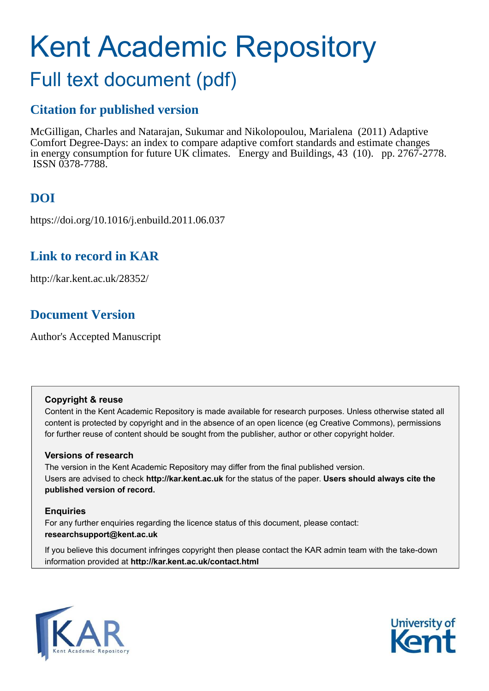# Kent Academic Repository Full text document (pdf)

# **Citation for published version**

McGilligan, Charles and Natarajan, Sukumar and Nikolopoulou, Marialena (2011) Adaptive Comfort Degree-Days: an index to compare adaptive comfort standards and estimate changes in energy consumption for future UK climates. Energy and Buildings, 43 (10). pp. 2767-2778. ISSN 0378-7788.

# **DOI**

https://doi.org/10.1016/j.enbuild.2011.06.037

# **Link to record in KAR**

http://kar.kent.ac.uk/28352/

# **Document Version**

Author's Accepted Manuscript

# **Copyright & reuse**

Content in the Kent Academic Repository is made available for research purposes. Unless otherwise stated all content is protected by copyright and in the absence of an open licence (eg Creative Commons), permissions for further reuse of content should be sought from the publisher, author or other copyright holder.

# **Versions of research**

The version in the Kent Academic Repository may differ from the final published version. Users are advised to check **http://kar.kent.ac.uk** for the status of the paper. **Users should always cite the published version of record.**

# **Enquiries**

For any further enquiries regarding the licence status of this document, please contact: **researchsupport@kent.ac.uk**

If you believe this document infringes copyright then please contact the KAR admin team with the take-down information provided at **http://kar.kent.ac.uk/contact.html**



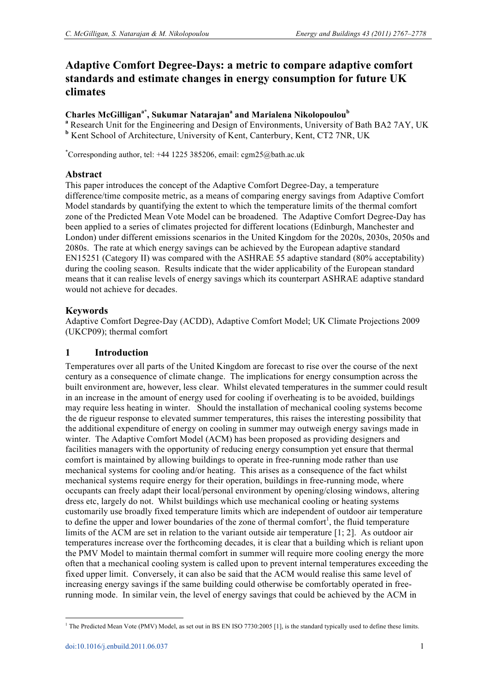# **Adaptive Comfort Degree-Days: a metric to compare adaptive comfort standards and estimate changes in energy consumption for future UK climates**

# **Charles McGilligana\*, Sukumar Natarajan<sup>a</sup> and Marialena Nikolopoulou<sup>b</sup>**

**<sup>a</sup>** Research Unit for the Engineering and Design of Environments, University of Bath BA2 7AY, UK **<sup>b</sup>** Kent School of Architecture, University of Kent, Canterbury, Kent, CT2 7NR, UK

\*Corresponding author, tel:  $+44$  1225 385206, email: cgm25@bath.ac.uk

# **Abstract**

This paper introduces the concept of the Adaptive Comfort Degree-Day, a temperature difference/time composite metric, as a means of comparing energy savings from Adaptive Comfort Model standards by quantifying the extent to which the temperature limits of the thermal comfort zone of the Predicted Mean Vote Model can be broadened. The Adaptive Comfort Degree-Day has been applied to a series of climates projected for different locations (Edinburgh, Manchester and London) under different emissions scenarios in the United Kingdom for the 2020s, 2030s, 2050s and 2080s. The rate at which energy savings can be achieved by the European adaptive standard EN15251 (Category II) was compared with the ASHRAE 55 adaptive standard (80% acceptability) during the cooling season. Results indicate that the wider applicability of the European standard means that it can realise levels of energy savings which its counterpart ASHRAE adaptive standard would not achieve for decades.

# **Keywords**

Adaptive Comfort Degree-Day (ACDD), Adaptive Comfort Model; UK Climate Projections 2009 (UKCP09); thermal comfort

# **1 Introduction**

Temperatures over all parts of the United Kingdom are forecast to rise over the course of the next century as a consequence of climate change. The implications for energy consumption across the built environment are, however, less clear. Whilst elevated temperatures in the summer could result in an increase in the amount of energy used for cooling if overheating is to be avoided, buildings may require less heating in winter. Should the installation of mechanical cooling systems become the de rigueur response to elevated summer temperatures, this raises the interesting possibility that the additional expenditure of energy on cooling in summer may outweigh energy savings made in winter. The Adaptive Comfort Model (ACM) has been proposed as providing designers and facilities managers with the opportunity of reducing energy consumption yet ensure that thermal comfort is maintained by allowing buildings to operate in free-running mode rather than use mechanical systems for cooling and/or heating. This arises as a consequence of the fact whilst mechanical systems require energy for their operation, buildings in free-running mode, where occupants can freely adapt their local/personal environment by opening/closing windows, altering dress etc, largely do not. Whilst buildings which use mechanical cooling or heating systems customarily use broadly fixed temperature limits which are independent of outdoor air temperature to define the upper and lower boundaries of the zone of thermal comfort<sup>1</sup>, the fluid temperature limits of the ACM are set in relation to the variant outside air temperature [1; 2]. As outdoor air temperatures increase over the forthcoming decades, it is clear that a building which is reliant upon the PMV Model to maintain thermal comfort in summer will require more cooling energy the more often that a mechanical cooling system is called upon to prevent internal temperatures exceeding the fixed upper limit. Conversely, it can also be said that the ACM would realise this same level of increasing energy savings if the same building could otherwise be comfortably operated in freerunning mode. In similar vein, the level of energy savings that could be achieved by the ACM in

<sup>&</sup>lt;sup>1</sup> The Predicted Mean Vote (PMV) Model, as set out in BS EN ISO 7730:2005 [1], is the standard typically used to define these limits.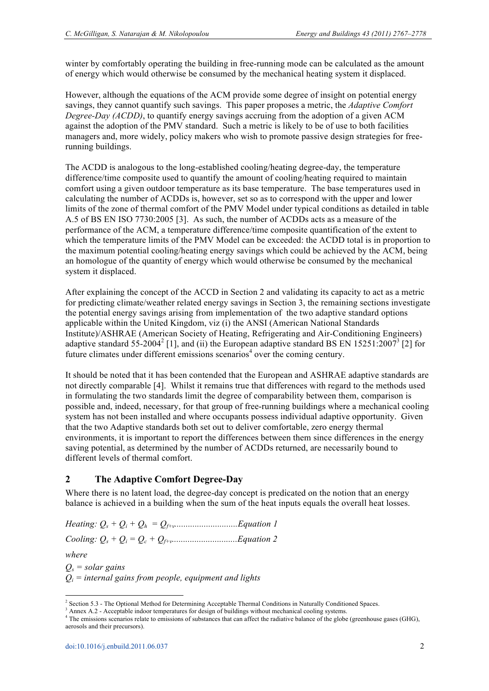winter by comfortably operating the building in free-running mode can be calculated as the amount of energy which would otherwise be consumed by the mechanical heating system it displaced.

However, although the equations of the ACM provide some degree of insight on potential energy savings, they cannot quantify such savings. This paper proposes a metric, the *Adaptive Comfort Degree-Day (ACDD)*, to quantify energy savings accruing from the adoption of a given ACM against the adoption of the PMV standard. Such a metric is likely to be of use to both facilities managers and, more widely, policy makers who wish to promote passive design strategies for freerunning buildings.

The ACDD is analogous to the long-established cooling/heating degree-day, the temperature difference/time composite used to quantify the amount of cooling/heating required to maintain comfort using a given outdoor temperature as its base temperature. The base temperatures used in calculating the number of ACDDs is, however, set so as to correspond with the upper and lower limits of the zone of thermal comfort of the PMV Model under typical conditions as detailed in table A.5 of BS EN ISO 7730:2005 [3]. As such, the number of ACDDs acts as a measure of the performance of the ACM, a temperature difference/time composite quantification of the extent to which the temperature limits of the PMV Model can be exceeded: the ACDD total is in proportion to the maximum potential cooling/heating energy savings which could be achieved by the ACM, being an homologue of the quantity of energy which would otherwise be consumed by the mechanical system it displaced.

After explaining the concept of the ACCD in Section 2 and validating its capacity to act as a metric for predicting climate/weather related energy savings in Section 3, the remaining sections investigate the potential energy savings arising from implementation of the two adaptive standard options applicable within the United Kingdom, viz (i) the ANSI (American National Standards Institute)/ASHRAE (American Society of Heating, Refrigerating and Air-Conditioning Engineers) adaptive standard 55-2004<sup>2</sup> [1], and (ii) the European adaptive standard BS EN 15251:2007<sup>3</sup> [2] for future climates under different emissions scenarios<sup>4</sup> over the coming century.

It should be noted that it has been contended that the European and ASHRAE adaptive standards are not directly comparable [4]. Whilst it remains true that differences with regard to the methods used in formulating the two standards limit the degree of comparability between them, comparison is possible and, indeed, necessary, for that group of free-running buildings where a mechanical cooling system has not been installed and where occupants possess individual adaptive opportunity. Given that the two Adaptive standards both set out to deliver comfortable, zero energy thermal environments, it is important to report the differences between them since differences in the energy saving potential, as determined by the number of ACDDs returned, are necessarily bound to different levels of thermal comfort.

# **2 The Adaptive Comfort Degree-Day**

Where there is no latent load, the degree-day concept is predicated on the notion that an energy balance is achieved in a building when the sum of the heat inputs equals the overall heat losses.

*Heating: Q<sup>s</sup> + Q<sup>i</sup> + Qh = Qf+v............................Equation 1* 

*Cooling: Q<sup>s</sup> + Q<sup>i</sup> = Qc + Qf+v.............................Equation 2* 

*where*

 $\overline{a}$ 

*Qs = solar gains Qi = internal gains from people, equipment and lights*

<sup>&</sup>lt;sup>2</sup> Section 5.3 - The Optional Method for Determining Acceptable Thermal Conditions in Naturally Conditioned Spaces.

<sup>&</sup>lt;sup>3</sup> Annex A.2 - Acceptable indoor temperatures for design of buildings without mechanical cooling systems.

<sup>&</sup>lt;sup>4</sup> The emissions scenarios relate to emissions of substances that can affect the radiative balance of the globe (greenhouse gases (GHG), aerosols and their precursors).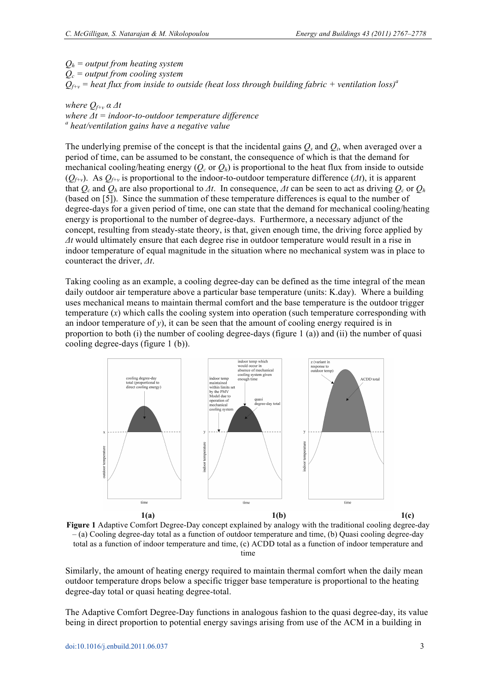*Qh = output from heating system Qc = output from cooling system*  $Q_{f+v}$  = heat flux from inside to outside (heat loss through building fabric + ventilation loss)<sup>*a*</sup>

#### *where*  $Q_{f+v}$   $\alpha \Delta t$ *where Δt = indoor-to-outdoor temperature difference a heat/ventilation gains have a negative value*

The underlying premise of the concept is that the incidental gains  $Q_s$  and  $Q_i$ , when averaged over a period of time, can be assumed to be constant, the consequence of which is that the demand for mechanical cooling/heating energy ( $O_c$  or  $O_h$ ) is proportional to the heat flux from inside to outside  $(Q_{f+\nu})$ . As  $Q_{f+\nu}$  is proportional to the indoor-to-outdoor temperature difference  $(\Delta t)$ , it is apparent that  $Q_c$  and  $Q_h$  are also proportional to  $\Delta t$ . In consequence,  $\Delta t$  can be seen to act as driving  $Q_c$  or  $Q_h$ (based on [5]). Since the summation of these temperature differences is equal to the number of degree-days for a given period of time, one can state that the demand for mechanical cooling/heating energy is proportional to the number of degree-days. Furthermore, a necessary adjunct of the concept, resulting from steady-state theory, is that, given enough time, the driving force applied by *Δt* would ultimately ensure that each degree rise in outdoor temperature would result in a rise in indoor temperature of equal magnitude in the situation where no mechanical system was in place to counteract the driver, *Δt*.

Taking cooling as an example, a cooling degree-day can be defined as the time integral of the mean daily outdoor air temperature above a particular base temperature (units: K.day). Where a building uses mechanical means to maintain thermal comfort and the base temperature is the outdoor trigger temperature  $(x)$  which calls the cooling system into operation (such temperature corresponding with an indoor temperature of  $y$ ), it can be seen that the amount of cooling energy required is in proportion to both (i) the number of cooling degree-days (figure 1 (a)) and (ii) the number of quasi cooling degree-days (figure 1 (b)).



**Figure 1** Adaptive Comfort Degree-Day concept explained by analogy with the traditional cooling degree-day – (a) Cooling degree-day total as a function of outdoor temperature and time, (b) Quasi cooling degree-day total as a function of indoor temperature and time, (c) ACDD total as a function of indoor temperature and time

Similarly, the amount of heating energy required to maintain thermal comfort when the daily mean outdoor temperature drops below a specific trigger base temperature is proportional to the heating degree-day total or quasi heating degree-total.

The Adaptive Comfort Degree-Day functions in analogous fashion to the quasi degree-day, its value being in direct proportion to potential energy savings arising from use of the ACM in a building in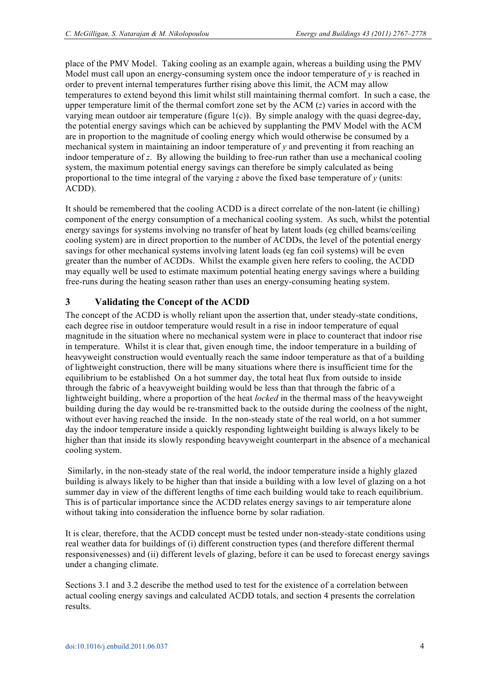place of the PMV Model. Taking cooling as an example again, whereas a building using the PMV Model must call upon an energy-consuming system once the indoor temperature of *y* is reached in order to prevent internal temperatures further rising above this limit, the ACM may allow temperatures to extend beyond this limit whilst still maintaining thermal comfort. In such a case, the upper temperature limit of the thermal comfort zone set by the ACM (*z*) varies in accord with the varying mean outdoor air temperature (figure  $1(c)$ ). By simple analogy with the quasi degree-day, the potential energy savings which can be achieved by supplanting the PMV Model with the ACM are in proportion to the magnitude of cooling energy which would otherwise be consumed by a mechanical system in maintaining an indoor temperature of *y* and preventing it from reaching an indoor temperature of *z*. By allowing the building to free-run rather than use a mechanical cooling system, the maximum potential energy savings can therefore be simply calculated as being proportional to the time integral of the varying  $z$  above the fixed base temperature of  $y$  (units: ACDD).

It should be remembered that the cooling ACDD is a direct correlate of the non-latent (ie chilling) component of the energy consumption of a mechanical cooling system. As such, whilst the potential energy savings for systems involving no transfer of heat by latent loads (eg chilled beams/ceiling cooling system) are in direct proportion to the number of ACDDs, the level of the potential energy savings for other mechanical systems involving latent loads (eg fan coil systems) will be even greater than the number of ACDDs. Whilst the example given here refers to cooling, the ACDD may equally well be used to estimate maximum potential heating energy savings where a building free-runs during the heating season rather than uses an energy-consuming heating system.

# **3 Validating the Concept of the ACDD**

The concept of the ACDD is wholly reliant upon the assertion that, under steady-state conditions, each degree rise in outdoor temperature would result in a rise in indoor temperature of equal magnitude in the situation where no mechanical system were in place to counteract that indoor rise in temperature. Whilst it is clear that, given enough time, the indoor temperature in a building of heavyweight construction would eventually reach the same indoor temperature as that of a building of lightweight construction, there will be many situations where there is insufficient time for the equilibrium to be established On a hot summer day, the total heat flux from outside to inside through the fabric of a heavyweight building would be less than that through the fabric of a lightweight building, where a proportion of the heat *locked* in the thermal mass of the heavyweight building during the day would be re-transmitted back to the outside during the coolness of the night, without ever having reached the inside. In the non-steady state of the real world, on a hot summer day the indoor temperature inside a quickly responding lightweight building is always likely to be higher than that inside its slowly responding heavyweight counterpart in the absence of a mechanical cooling system.

 Similarly, in the non-steady state of the real world, the indoor temperature inside a highly glazed building is always likely to be higher than that inside a building with a low level of glazing on a hot summer day in view of the different lengths of time each building would take to reach equilibrium. This is of particular importance since the ACDD relates energy savings to air temperature alone without taking into consideration the influence borne by solar radiation.

It is clear, therefore, that the ACDD concept must be tested under non-steady-state conditions using real weather data for buildings of (i) different construction types (and therefore different thermal responsivenesses) and (ii) different levels of glazing, before it can be used to forecast energy savings under a changing climate.

Sections 3.1 and 3.2 describe the method used to test for the existence of a correlation between actual cooling energy savings and calculated ACDD totals, and section 4 presents the correlation results.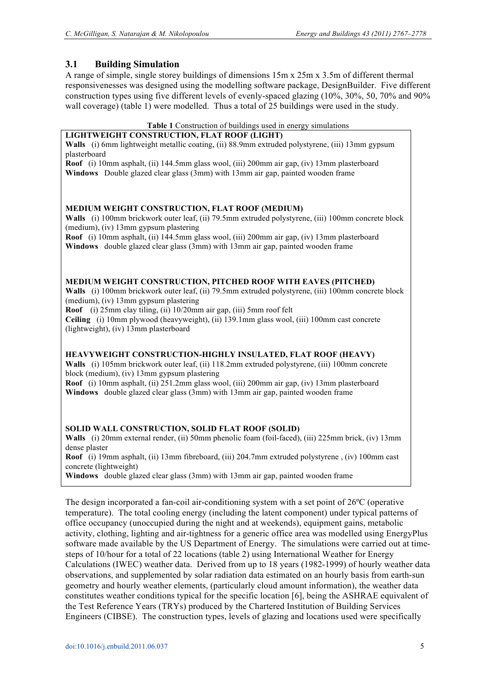# **3.1 Building Simulation**

A range of simple, single storey buildings of dimensions 15m x 25m x 3.5m of different thermal responsivenesses was designed using the modelling software package, DesignBuilder. Five different construction types using five different levels of evenly-spaced glazing (10%, 30%, 50, 70% and 90% wall coverage) (table 1) were modelled. Thus a total of 25 buildings were used in the study.

#### **Table 1** Construction of buildings used in energy simulations

#### **LIGHTWEIGHT CONSTRUCTION, FLAT ROOF (LIGHT)**

**Walls** (i) 6mm lightweight metallic coating, (ii) 88.9mm extruded polystyrene, (iii) 13mm gypsum plasterboard

**Roof** (i) 10mm asphalt, (ii) 144.5mm glass wool, (iii) 200mm air gap, (iv) 13mm plasterboard **Windows** Double glazed clear glass (3mm) with 13mm air gap, painted wooden frame

#### **MEDIUM WEIGHT CONSTRUCTION, FLAT ROOF (MEDIUM)**

**Walls** (i) 100mm brickwork outer leaf, (ii) 79.5mm extruded polystyrene, (iii) 100mm concrete block (medium), (iv) 13mm gypsum plastering

**Roof** (i) 10mm asphalt, (ii) 144.5mm glass wool, (iii) 200mm air gap, (iv) 13mm plasterboard **Windows** double glazed clear glass (3mm) with 13mm air gap, painted wooden frame

#### **MEDIUM WEIGHT CONSTRUCTION, PITCHED ROOF WITH EAVES (PITCHED)**

**Walls** (i) 100mm brickwork outer leaf, (ii) 79.5mm extruded polystyrene, (iii) 100mm concrete block (medium), (iv) 13mm gypsum plastering

**Roof** (i) 25mm clay tiling, (ii) 10/20mm air gap, (iii) 5mm roof felt

**Ceiling** (i) 10mm plywood (heavyweight), (ii) 139.1mm glass wool, (iii) 100mm cast concrete (lightweight), (iv) 13mm plasterboard

#### **HEAVYWEIGHT CONSTRUCTION-HIGHLY INSULATED, FLAT ROOF (HEAVY)**

**Walls** (i) 105mm brickwork outer leaf, (ii) 118.2mm extruded polystyrene, (iii) 100mm concrete block (medium), (iv) 13mm gypsum plastering

**Roof** (i) 10mm asphalt, (ii) 251.2mm glass wool, (iii) 200mm air gap, (iv) 13mm plasterboard **Windows** double glazed clear glass (3mm) with 13mm air gap, painted wooden frame

#### **SOLID WALL CONSTRUCTION, SOLID FLAT ROOF (SOLID)**

**Walls** (i) 20mm external render, (ii) 50mm phenolic foam (foil-faced), (iii) 225mm brick, (iv) 13mm dense plaster

**Roof** (i) 19mm asphalt, (ii) 13mm fibreboard, (iii) 204.7mm extruded polystyrene , (iv) 100mm cast concrete (lightweight)

**Windows** double glazed clear glass (3mm) with 13mm air gap, painted wooden frame

The design incorporated a fan-coil air-conditioning system with a set point of 26ºC (operative temperature). The total cooling energy (including the latent component) under typical patterns of office occupancy (unoccupied during the night and at weekends), equipment gains, metabolic activity, clothing, lighting and air-tightness for a generic office area was modelled using EnergyPlus software made available by the US Department of Energy. The simulations were carried out at timesteps of 10/hour for a total of 22 locations (table 2) using International Weather for Energy Calculations (IWEC) weather data. Derived from up to 18 years (1982-1999) of hourly weather data observations, and supplemented by solar radiation data estimated on an hourly basis from earth-sun geometry and hourly weather elements, (particularly cloud amount information), the weather data constitutes weather conditions typical for the specific location [6], being the ASHRAE equivalent of the Test Reference Years (TRYs) produced by the Chartered Institution of Building Services Engineers (CIBSE). The construction types, levels of glazing and locations used were specifically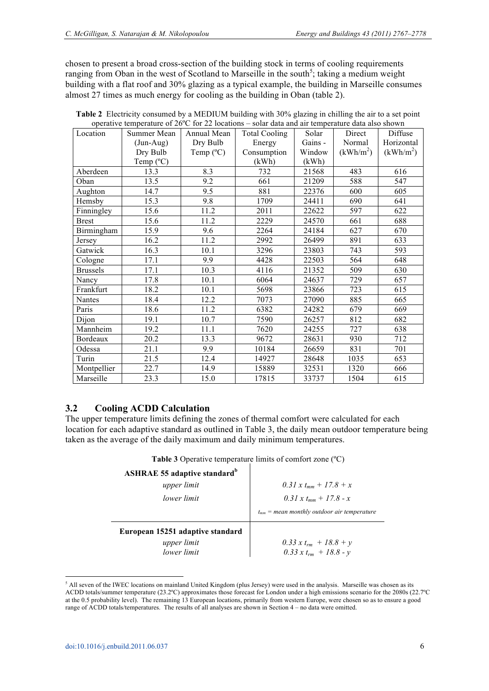chosen to present a broad cross-section of the building stock in terms of cooling requirements ranging from Oban in the west of Scotland to Marseille in the south<sup>5</sup>; taking a medium weight building with a flat roof and 30% glazing as a typical example, the building in Marseille consumes almost 27 times as much energy for cooling as the building in Oban (table 2).

| Location        | Summer Mean        | Annual Mean        | <b>Total Cooling</b> | Solar   | Direct                | Diffuse               |
|-----------------|--------------------|--------------------|----------------------|---------|-----------------------|-----------------------|
|                 | $(Jun-Aug)$        | Dry Bulb<br>Energy |                      | Gains - | Normal                | Horizontal            |
|                 | Dry Bulb           | Temp $(^{\circ}C)$ | Consumption          | Window  | (kWh/m <sup>2</sup> ) | (kWh/m <sup>2</sup> ) |
|                 | Temp $(^{\circ}C)$ |                    | (kWh)                | (kWh)   |                       |                       |
| Aberdeen        | 13.3               | 8.3                | 732                  | 21568   | 483                   | 616                   |
| Oban            | 13.5               | 9.2                | 661                  | 21209   | 588                   | 547                   |
| Aughton         | 14.7               | 9.5                | 881                  | 22376   | 600                   | 605                   |
| Hemsby          | 15.3               | 9.8                | 1709                 | 24411   | 690                   | 641                   |
| Finningley      | 15.6               | 11.2               | 2011                 | 22622   | 597                   | 622                   |
| <b>Brest</b>    | 15.6               | 11.2               | 2229                 | 24570   | 661                   | 688                   |
| Birmingham      | 15.9               | 9.6                | 2264                 | 24184   | 627                   | 670                   |
| Jersey          | 16.2               | 11.2               | 2992                 | 26499   | 891                   | 633                   |
| Gatwick         | 16.3               | 10.1               | 3296                 | 23803   | 743                   | 593                   |
| Cologne         | 17.1               | 9.9                | 4428                 | 22503   | 564                   | 648                   |
| <b>Brussels</b> | 17.1               | 10.3               | 4116                 | 21352   | 509                   | 630                   |
| Nancy           | 17.8               | 10.1               | 6064                 | 24637   | 729                   | 657                   |
| Frankfurt       | 18.2               | 10.1               | 5698                 | 23866   | 723                   | 615                   |
| Nantes          | 18.4               | 12.2               | 7073                 | 27090   | 885                   | 665                   |
| Paris           | 18.6               | 11.2               | 6382                 | 24282   | 679                   | 669                   |
| Dijon           | 19.1               | 10.7               | 7590                 | 26257   | 812                   | 682                   |
| Mannheim        | 19.2               | 11.1               | 7620                 | 24255   | 727                   | 638                   |
| Bordeaux        | 20.2               | 13.3               | 9672                 | 28631   | 930                   | 712                   |
| Odessa          | 21.1               | 9.9                | 10184                | 26659   | 831                   | 701                   |
| Turin           | 21.5               | 12.4               | 14927                | 28648   | 1035                  | 653                   |
| Montpellier     | 22.7               | 14.9               | 15889                | 32531   | 1320                  | 666                   |
| Marseille       | 23.3               | 15.0               | 17815                | 33737   | 1504                  | 615                   |

| Table 2 Electricity consumed by a MEDIUM building with 30% glazing in chilling the air to a set point     |
|-----------------------------------------------------------------------------------------------------------|
| operative temperature of $26^{\circ}$ C for 22 locations – solar data and air temperature data also shown |

# **3.2 Cooling ACDD Calculation**

The upper temperature limits defining the zones of thermal comfort were calculated for each location for each adaptive standard as outlined in Table 3, the daily mean outdoor temperature being taken as the average of the daily maximum and daily minimum temperatures.

| Table 3 Operative temperature limits of comfort zone (°C) |  |
|-----------------------------------------------------------|--|
|-----------------------------------------------------------|--|

| <b>ASHRAE 55 adaptive standard</b> <sup>b</sup> |                                                 |
|-------------------------------------------------|-------------------------------------------------|
| upper limit                                     | 0.31 x t <sub>mm</sub> + 17.8 + x               |
| lower limit                                     | 0.31 x t <sub>mm</sub> + 17.8 - x               |
|                                                 | $t_{mm}$ = mean monthly outdoor air temperature |
| European 15251 adaptive standard                |                                                 |
| upper limit                                     | 0.33 x $t_{rm}$ + 18.8 + y                      |
| lower limit                                     | 0.33 x $t_{rm}$ + 18.8 - y                      |

<sup>&</sup>lt;sup>5</sup> All seven of the IWEC locations on mainland United Kingdom (plus Jersey) were used in the analysis. Marseille was chosen as its ACDD totals/summer temperature (23.2ºC) approximates those forecast for London under a high emissions scenario for the 2080s (22.7ºC at the 0.5 probability level). The remaining 13 European locations, primarily from western Europe, were chosen so as to ensure a good range of ACDD totals/temperatures. The results of all analyses are shown in Section 4 – no data were omitted.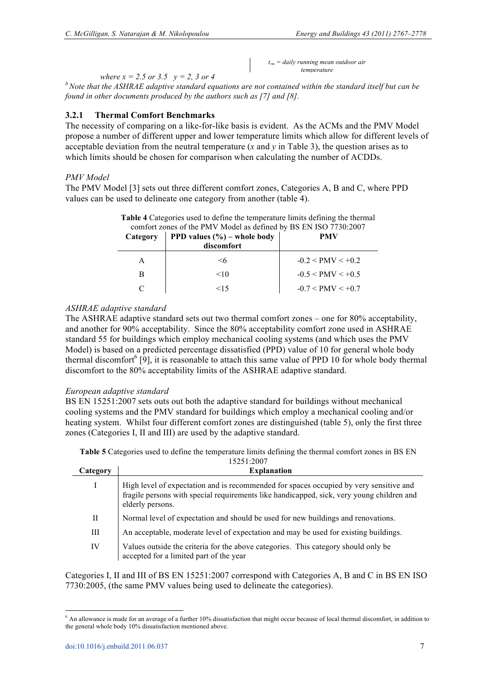*trm = daily running mean outdoor air temperature*

*where*  $x = 2.5$  *or 3.5*  $y = 2$ , 3 or 4

*<sup>b</sup>Note that the ASHRAE adaptive standard equations are not contained within the standard itself but can be found in other documents produced by the authors such as [7] and [8].*

#### **3.2.1 Thermal Comfort Benchmarks**

The necessity of comparing on a like-for-like basis is evident. As the ACMs and the PMV Model propose a number of different upper and lower temperature limits which allow for different levels of acceptable deviation from the neutral temperature (*x* and *y* in Table 3), the question arises as to which limits should be chosen for comparison when calculating the number of ACDDs.

#### *PMV Model*

The PMV Model [3] sets out three different comfort zones, Categories A, B and C, where PPD values can be used to delineate one category from another (table 4).

| comfort zones of the PMV Model as defined by BS EN ISO 7730:2007 |                                                      |                     |  |
|------------------------------------------------------------------|------------------------------------------------------|---------------------|--|
| Category                                                         | <b>PPD</b> values $(\% )$ – whole body<br>discomfort | <b>PMV</b>          |  |
|                                                                  | <6                                                   | $-0.2 < PMV < +0.2$ |  |
| в                                                                | <10                                                  | $-0.5 < PMV < +0.5$ |  |
|                                                                  | 15                                                   | $-0.7 < PMV < +0.7$ |  |

**Table 4** Categories used to define the temperature limits defining the thermal

#### *ASHRAE adaptive standard*

The ASHRAE adaptive standard sets out two thermal comfort zones – one for 80% acceptability, and another for 90% acceptability. Since the 80% acceptability comfort zone used in ASHRAE standard 55 for buildings which employ mechanical cooling systems (and which uses the PMV Model) is based on a predicted percentage dissatisfied (PPD) value of 10 for general whole body thermal discomfort<sup>6</sup> [9], it is reasonable to attach this same value of PPD 10 for whole body thermal discomfort to the 80% acceptability limits of the ASHRAE adaptive standard.

#### *European adaptive standard*

BS EN 15251:2007 sets outs out both the adaptive standard for buildings without mechanical cooling systems and the PMV standard for buildings which employ a mechanical cooling and/or heating system. Whilst four different comfort zones are distinguished (table 5), only the first three zones (Categories I, II and III) are used by the adaptive standard.

**Table 5** Categories used to define the temperature limits defining the thermal comfort zones in BS EN 15251:2007

| Category | <b>Explanation</b>                                                                                                                                                                                      |
|----------|---------------------------------------------------------------------------------------------------------------------------------------------------------------------------------------------------------|
|          | High level of expectation and is recommended for spaces occupied by very sensitive and<br>fragile persons with special requirements like handicapped, sick, very young children and<br>elderly persons. |
| П        | Normal level of expectation and should be used for new buildings and renovations.                                                                                                                       |
| Ш        | An acceptable, moderate level of expectation and may be used for existing buildings.                                                                                                                    |
| IV       | Values outside the criteria for the above categories. This category should only be<br>accepted for a limited part of the year                                                                           |

Categories I, II and III of BS EN 15251:2007 correspond with Categories A, B and C in BS EN ISO 7730:2005, (the same PMV values being used to delineate the categories).

<sup>&</sup>lt;sup>6</sup> An allowance is made for an average of a further 10% dissatisfaction that might occur because of local thermal discomfort, in addition to the general whole body 10% dissatisfaction mentioned above.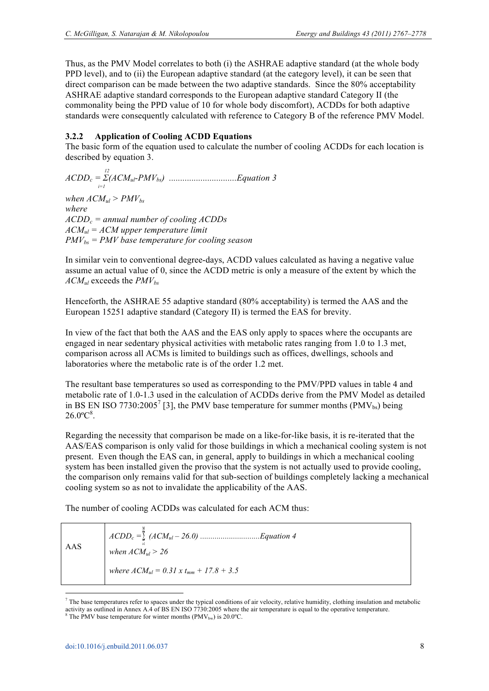Thus, as the PMV Model correlates to both (i) the ASHRAE adaptive standard (at the whole body PPD level), and to (ii) the European adaptive standard (at the category level), it can be seen that direct comparison can be made between the two adaptive standards. Since the 80% acceptability ASHRAE adaptive standard corresponds to the European adaptive standard Category II (the commonality being the PPD value of 10 for whole body discomfort), ACDDs for both adaptive standards were consequently calculated with reference to Category B of the reference PMV Model.

# **3.2.2 Application of Cooling ACDD Equations**

The basic form of the equation used to calculate the number of cooling ACDDs for each location is described by equation 3.

$$
ACDD_c = \sum_{i=1}^{12} (ACM_{ul} - PMV_{bs})
$$
.................*Equation 3*

*when*  $ACM<sub>ul</sub> > PMV<sub>bs</sub>$ *where ACDDc = annual number of cooling ACDDs ACMul = ACM upper temperature limit PMVbs = PMV base temperature for cooling season*

In similar vein to conventional degree-days, ACDD values calculated as having a negative value assume an actual value of 0, since the ACDD metric is only a measure of the extent by which the *ACMul* exceeds the *PMVbs*

Henceforth, the ASHRAE 55 adaptive standard (80% acceptability) is termed the AAS and the European 15251 adaptive standard (Category II) is termed the EAS for brevity.

In view of the fact that both the AAS and the EAS only apply to spaces where the occupants are engaged in near sedentary physical activities with metabolic rates ranging from 1.0 to 1.3 met, comparison across all ACMs is limited to buildings such as offices, dwellings, schools and laboratories where the metabolic rate is of the order 1.2 met.

The resultant base temperatures so used as corresponding to the PMV/PPD values in table 4 and metabolic rate of 1.0-1.3 used in the calculation of ACDDs derive from the PMV Model as detailed in BS EN ISO 7730:2005<sup>7</sup> [3], the PMV base temperature for summer months (PMV<sub>bs</sub>) being  $26.0^{\circ}C^{8}$ .

Regarding the necessity that comparison be made on a like-for-like basis, it is re-iterated that the AAS/EAS comparison is only valid for those buildings in which a mechanical cooling system is not present. Even though the EAS can, in general, apply to buildings in which a mechanical cooling system has been installed given the proviso that the system is not actually used to provide cooling, the comparison only remains valid for that sub-section of buildings completely lacking a mechanical cooling system so as not to invalidate the applicability of the AAS.

The number of cooling ACDDs was calculated for each ACM thus:

| AAS | when $ACM_{ul} > 26$                          |
|-----|-----------------------------------------------|
|     | where $ACM_{ul} = 0.31 x t_{mm} + 17.8 + 3.5$ |

 $^7$  The base temperatures refer to spaces under the typical conditions of air velocity, relative humidity, clothing insulation and metabolic activity as outlined in Annex A.4 of BS EN ISO 7730:2005 where the air temperature is equal to the operative temperature.<br><sup>8</sup> The PMV base temperature for winter months (PMV<sub>bw</sub>) is 20.0°C.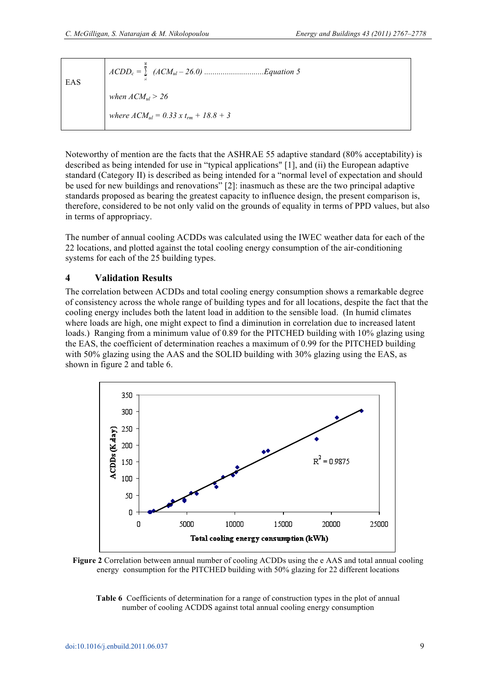| EAS |                                             |
|-----|---------------------------------------------|
|     | when $ACM_{ul} > 26$                        |
|     | where $ACM_{ul} = 0.33 x t_{rm} + 18.8 + 3$ |
|     |                                             |

Noteworthy of mention are the facts that the ASHRAE 55 adaptive standard (80% acceptability) is described as being intended for use in "typical applications" [1], and (ii) the European adaptive standard (Category II) is described as being intended for a "normal level of expectation and should be used for new buildings and renovations" [2]: inasmuch as these are the two principal adaptive standards proposed as bearing the greatest capacity to influence design, the present comparison is, therefore, considered to be not only valid on the grounds of equality in terms of PPD values, but also in terms of appropriacy.

The number of annual cooling ACDDs was calculated using the IWEC weather data for each of the 22 locations, and plotted against the total cooling energy consumption of the air-conditioning systems for each of the 25 building types.

#### **4 Validation Results**

The correlation between ACDDs and total cooling energy consumption shows a remarkable degree of consistency across the whole range of building types and for all locations, despite the fact that the cooling energy includes both the latent load in addition to the sensible load. (In humid climates where loads are high, one might expect to find a diminution in correlation due to increased latent loads.) Ranging from a minimum value of 0.89 for the PITCHED building with 10% glazing using the EAS, the coefficient of determination reaches a maximum of 0.99 for the PITCHED building with 50% glazing using the AAS and the SOLID building with 30% glazing using the EAS, as shown in figure 2 and table 6.





**Table 6** Coefficients of determination for a range of construction types in the plot of annual number of cooling ACDDS against total annual cooling energy consumption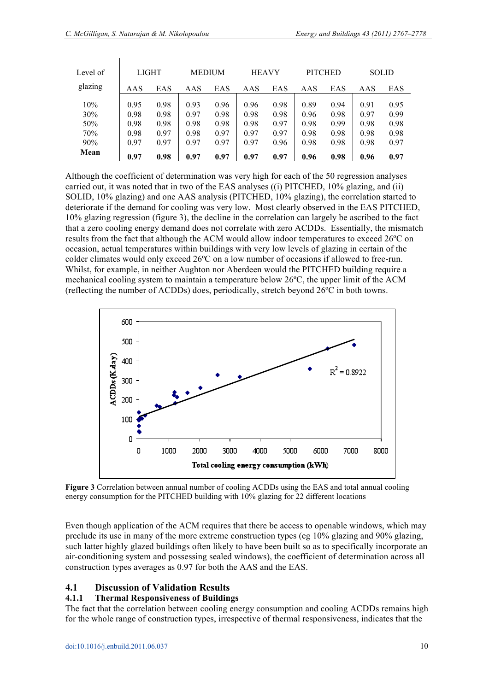$\overline{1}$ 

| Level of                        | <b>LIGHT</b>                         |                                      |                                      | <b>MEDIUM</b>                        | <b>HEAVY</b>                         |                                      | <b>PITCHED</b>                       |                                      |                                      | <b>SOLID</b>                         |
|---------------------------------|--------------------------------------|--------------------------------------|--------------------------------------|--------------------------------------|--------------------------------------|--------------------------------------|--------------------------------------|--------------------------------------|--------------------------------------|--------------------------------------|
| glazing                         | AAS                                  | EAS                                  | AAS                                  | EAS                                  | AAS                                  | EAS                                  | AAS                                  | EAS                                  | AAS                                  | EAS                                  |
| 10%<br>30%<br>50%<br>70%<br>90% | 0.95<br>0.98<br>0.98<br>0.98<br>0.97 | 0.98<br>0.98<br>0.98<br>0.97<br>0.97 | 0.93<br>0.97<br>0.98<br>0.98<br>0.97 | 0.96<br>0.98<br>0.98<br>0.97<br>0.97 | 0.96<br>0.98<br>0.98<br>0.97<br>0.97 | 0.98<br>0.98<br>0.97<br>0.97<br>0.96 | 0.89<br>0.96<br>0.98<br>0.98<br>0.98 | 0.94<br>0.98<br>0.99<br>0.98<br>0.98 | 0.91<br>0.97<br>0.98<br>0.98<br>0.98 | 0.95<br>0.99<br>0.98<br>0.98<br>0.97 |
| Mean                            | 0.97                                 | 0.98                                 | 0.97                                 | 0.97                                 | 0.97                                 | 0.97                                 | 0.96                                 | 0.98                                 | 0.96                                 | 0.97                                 |

Although the coefficient of determination was very high for each of the 50 regression analyses carried out, it was noted that in two of the EAS analyses ((i) PITCHED, 10% glazing, and (ii) SOLID, 10% glazing) and one AAS analysis (PITCHED, 10% glazing), the correlation started to deteriorate if the demand for cooling was very low. Most clearly observed in the EAS PITCHED, 10% glazing regression (figure 3), the decline in the correlation can largely be ascribed to the fact that a zero cooling energy demand does not correlate with zero ACDDs. Essentially, the mismatch results from the fact that although the ACM would allow indoor temperatures to exceed 26ºC on occasion, actual temperatures within buildings with very low levels of glazing in certain of the colder climates would only exceed 26ºC on a low number of occasions if allowed to free-run. Whilst, for example, in neither Aughton nor Aberdeen would the PITCHED building require a mechanical cooling system to maintain a temperature below 26ºC, the upper limit of the ACM (reflecting the number of ACDDs) does, periodically, stretch beyond 26ºC in both towns.



**Figure 3** Correlation between annual number of cooling ACDDs using the EAS and total annual cooling energy consumption for the PITCHED building with 10% glazing for 22 different locations

Even though application of the ACM requires that there be access to openable windows, which may preclude its use in many of the more extreme construction types (eg 10% glazing and 90% glazing, such latter highly glazed buildings often likely to have been built so as to specifically incorporate an air-conditioning system and possessing sealed windows), the coefficient of determination across all construction types averages as 0.97 for both the AAS and the EAS.

# **4.1 Discussion of Validation Results**

#### **4.1.1 Thermal Responsiveness of Buildings**

The fact that the correlation between cooling energy consumption and cooling ACDDs remains high for the whole range of construction types, irrespective of thermal responsiveness, indicates that the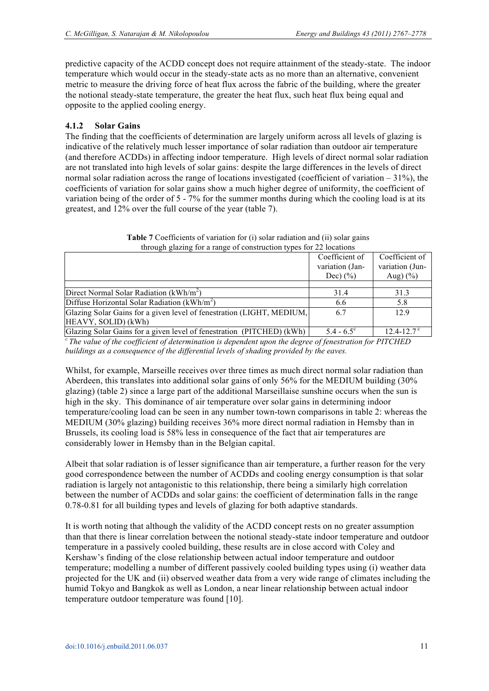predictive capacity of the ACDD concept does not require attainment of the steady-state. The indoor temperature which would occur in the steady-state acts as no more than an alternative, convenient metric to measure the driving force of heat flux across the fabric of the building, where the greater the notional steady-state temperature, the greater the heat flux, such heat flux being equal and opposite to the applied cooling energy.

# **4.1.2 Solar Gains**

The finding that the coefficients of determination are largely uniform across all levels of glazing is indicative of the relatively much lesser importance of solar radiation than outdoor air temperature (and therefore ACDDs) in affecting indoor temperature. High levels of direct normal solar radiation are not translated into high levels of solar gains: despite the large differences in the levels of direct normal solar radiation across the range of locations investigated (coefficient of variation – 31%), the coefficients of variation for solar gains show a much higher degree of uniformity, the coefficient of variation being of the order of 5 - 7% for the summer months during which the cooling load is at its greatest, and 12% over the full course of the year (table 7).

|                                                                       | Coefficient of      | Coefficient of             |
|-----------------------------------------------------------------------|---------------------|----------------------------|
|                                                                       | variation (Jan-     | variation (Jun-            |
|                                                                       | Dec) $(\% )$        | Aug) $(\% )$               |
|                                                                       |                     |                            |
| Direct Normal Solar Radiation $(kWh/m2)$                              | 31.4                | 31.3                       |
| Diffuse Horizontal Solar Radiation ( $kWh/m^2$ )                      | 6.6                 | 5.8                        |
| Glazing Solar Gains for a given level of fenestration (LIGHT, MEDIUM, | 6.7                 | 12.9                       |
| HEAVY, SOLID) (kWh)                                                   |                     |                            |
| Glazing Solar Gains for a given level of fenestration (PITCHED) (kWh) | $5.4 - 6.5^{\circ}$ | $12.4 - 12.7$ <sup>c</sup> |

**Table 7** Coefficients of variation for (i) solar radiation and (ii) solar gains through glazing for a range of construction types for 22 locations

*<sup>c</sup>The value of the coefficient of determination is dependent upon the degree of fenestration for PITCHED buildings as a consequence of the differential levels of shading provided by the eaves.*

Whilst, for example, Marseille receives over three times as much direct normal solar radiation than Aberdeen, this translates into additional solar gains of only 56% for the MEDIUM building (30% glazing) (table 2) since a large part of the additional Marseillaise sunshine occurs when the sun is high in the sky. This dominance of air temperature over solar gains in determining indoor temperature/cooling load can be seen in any number town-town comparisons in table 2: whereas the MEDIUM (30% glazing) building receives 36% more direct normal radiation in Hemsby than in Brussels, its cooling load is 58% less in consequence of the fact that air temperatures are considerably lower in Hemsby than in the Belgian capital.

Albeit that solar radiation is of lesser significance than air temperature, a further reason for the very good correspondence between the number of ACDDs and cooling energy consumption is that solar radiation is largely not antagonistic to this relationship, there being a similarly high correlation between the number of ACDDs and solar gains: the coefficient of determination falls in the range 0.78-0.81 for all building types and levels of glazing for both adaptive standards.

It is worth noting that although the validity of the ACDD concept rests on no greater assumption than that there is linear correlation between the notional steady-state indoor temperature and outdoor temperature in a passively cooled building, these results are in close accord with Coley and Kershaw's finding of the close relationship between actual indoor temperature and outdoor temperature; modelling a number of different passively cooled building types using (i) weather data projected for the UK and (ii) observed weather data from a very wide range of climates including the humid Tokyo and Bangkok as well as London, a near linear relationship between actual indoor temperature outdoor temperature was found [10].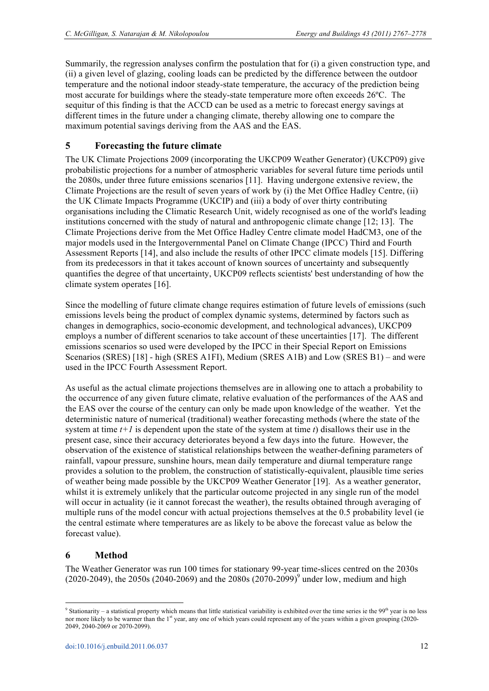Summarily, the regression analyses confirm the postulation that for (i) a given construction type, and (ii) a given level of glazing, cooling loads can be predicted by the difference between the outdoor temperature and the notional indoor steady-state temperature, the accuracy of the prediction being most accurate for buildings where the steady-state temperature more often exceeds 26ºC. The sequitur of this finding is that the ACCD can be used as a metric to forecast energy savings at different times in the future under a changing climate, thereby allowing one to compare the maximum potential savings deriving from the AAS and the EAS.

# **5 Forecasting the future climate**

The UK Climate Projections 2009 (incorporating the UKCP09 Weather Generator) (UKCP09) give probabilistic projections for a number of atmospheric variables for several future time periods until the 2080s, under three future emissions scenarios [11]. Having undergone extensive review, the Climate Projections are the result of seven years of work by (i) the Met Office Hadley Centre, (ii) the UK Climate Impacts Programme (UKCIP) and (iii) a body of over thirty contributing organisations including the Climatic Research Unit, widely recognised as one of the world's leading institutions concerned with the study of natural and anthropogenic climate change [12; 13]. The Climate Projections derive from the Met Office Hadley Centre climate model HadCM3, one of the major models used in the Intergovernmental Panel on Climate Change (IPCC) Third and Fourth Assessment Reports [14], and also include the results of other IPCC climate models [15]. Differing from its predecessors in that it takes account of known sources of uncertainty and subsequently quantifies the degree of that uncertainty, UKCP09 reflects scientists' best understanding of how the climate system operates [16].

Since the modelling of future climate change requires estimation of future levels of emissions (such emissions levels being the product of complex dynamic systems, determined by factors such as changes in demographics, socio-economic development, and technological advances), UKCP09 employs a number of different scenarios to take account of these uncertainties [17]. The different emissions scenarios so used were developed by the IPCC in their Special Report on Emissions Scenarios (SRES) [18] - high (SRES A1FI), Medium (SRES A1B) and Low (SRES B1) – and were used in the IPCC Fourth Assessment Report.

As useful as the actual climate projections themselves are in allowing one to attach a probability to the occurrence of any given future climate, relative evaluation of the performances of the AAS and the EAS over the course of the century can only be made upon knowledge of the weather. Yet the deterministic nature of numerical (traditional) weather forecasting methods (where the state of the system at time  $t+1$  is dependent upon the state of the system at time  $t$ ) disallows their use in the present case, since their accuracy deteriorates beyond a few days into the future. However, the observation of the existence of statistical relationships between the weather-defining parameters of rainfall, vapour pressure, sunshine hours, mean daily temperature and diurnal temperature range provides a solution to the problem, the construction of statistically-equivalent, plausible time series of weather being made possible by the UKCP09 Weather Generator [19]. As a weather generator, whilst it is extremely unlikely that the particular outcome projected in any single run of the model will occur in actuality (ie it cannot forecast the weather), the results obtained through averaging of multiple runs of the model concur with actual projections themselves at the 0.5 probability level (ie the central estimate where temperatures are as likely to be above the forecast value as below the forecast value).

# **6 Method**

 $\overline{a}$ 

The Weather Generator was run 100 times for stationary 99-year time-slices centred on the 2030s  $(2020-2049)$ , the 2050s  $(2040-2069)$  and the 2080s  $(2070-2099)$ <sup>9</sup> under low, medium and high

 $9$  Stationarity – a statistical property which means that little statistical variability is exhibited over the time series ie the  $99<sup>th</sup>$  year is no less nor more likely to be warmer than the 1<sup>st</sup> year, any one of which years could represent any of the years within a given grouping (2020-2049, 2040-2069 or 2070-2099).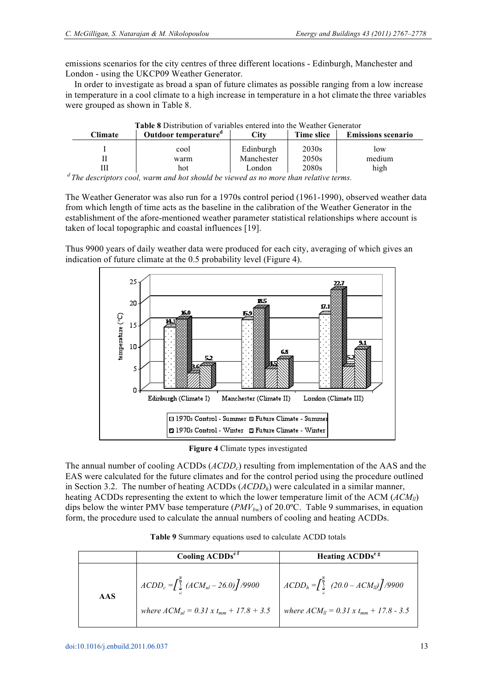emissions scenarios for the city centres of three different locations - Edinburgh, Manchester and London - using the UKCP09 Weather Generator.

 In order to investigate as broad a span of future climates as possible ranging from a low increase in temperature in a cool climate to a high increase in temperature in a hot climate the three variables were grouped as shown in Table 8.

| <b>Table 8</b> Distribution of variables entered into the Weather Generator                      |                                  |            |                   |                           |  |
|--------------------------------------------------------------------------------------------------|----------------------------------|------------|-------------------|---------------------------|--|
| Climate                                                                                          | Outdoor temperature <sup>d</sup> | Lity       | Time slice        | <b>Emissions scenario</b> |  |
|                                                                                                  | cool                             | Edinburgh  | 2030 <sub>s</sub> | low                       |  |
|                                                                                                  | warm                             | Manchester | 2050s             | medium                    |  |
|                                                                                                  | hot                              | London     | 2080 <sub>s</sub> | high                      |  |
| <sup>d</sup> The descriptors cool, warm and hot should be viewed as no more than velative terms. |                                  |            |                   |                           |  |

*<sup>d</sup>The descriptors cool, warm and hot should be viewed as no more than relative terms.* 

The Weather Generator was also run for a 1970s control period (1961-1990), observed weather data from which length of time acts as the baseline in the calibration of the Weather Generator in the establishment of the afore-mentioned weather parameter statistical relationships where account is taken of local topographic and coastal influences [19].

Thus 9900 years of daily weather data were produced for each city, averaging of which gives an indication of future climate at the 0.5 probability level (Figure 4).



**Figure 4** Climate types investigated

The annual number of cooling ACDDs (*ACDDc*) resulting from implementation of the AAS and the EAS were calculated for the future climates and for the control period using the procedure outlined in Section 3.2. The number of heating ACDDs (*ACDDh*) were calculated in a similar manner, heating ACDDs representing the extent to which the lower temperature limit of the ACM (*ACMll*) dips below the winter PMV base temperature (*PMVbw*) of 20.0ºC. Table 9 summarises, in equation form, the procedure used to calculate the annual numbers of cooling and heating ACDDs.

**Table 9** Summary equations used to calculate ACDD totals

|            | Cooling ACDDs <sup>e1</sup>                                                                                              | Heating ACDDs <sup>e g</sup>                                                                               |
|------------|--------------------------------------------------------------------------------------------------------------------------|------------------------------------------------------------------------------------------------------------|
| <b>AAS</b> | $A CDD_c = \int_{\frac{1}{2}}^{\frac{\pi}{2}} (ACM_{ul} - 26.0) / 9900$<br>where $ACM_{ul} = 0.31 x t_{mm} + 17.8 + 3.5$ | $A CDDh = \int_{0}^{\infty} (20.0 - ACM_{ll}) \int /9900$<br>where $ACM_{ll} = 0.31 x t_{mm} + 17.8 - 3.5$ |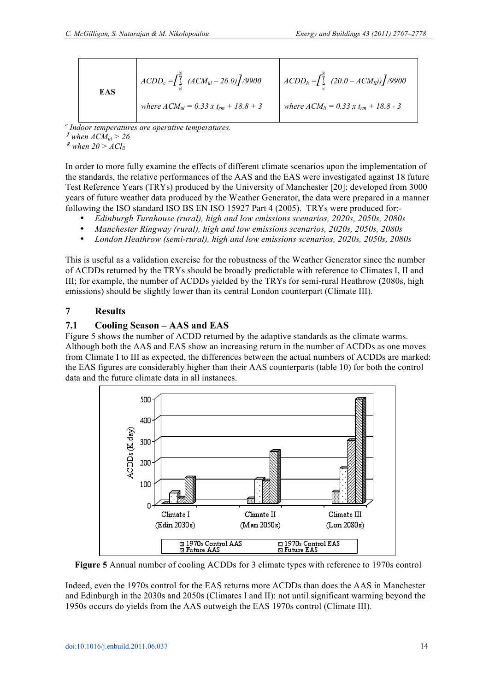| <b>EAS</b> | $ACDD_c = \int_{a}^{b} (ACM_{ul} - 26.0) / 9900$ | $\left[ A C D D_h = \int \right] (20.0 - A C M_{ll}) \left[ \int \right] / 9900$ |
|------------|--------------------------------------------------|----------------------------------------------------------------------------------|
|            | where $ACM_{ul} = 0.33 x t_{rm} + 18.8 + 3$      | where $ACM_{ll} = 0.33 \times t_{rm} + 18.8 - 3$                                 |

*e Indoor temperatures are operative temperatures.* 

 $f$  *when*  $ACM<sub>ul</sub> > 26$ 

 $g$ <sup>*g*</sup> *when* 20 >  $ACl_{ll}$ 

In order to more fully examine the effects of different climate scenarios upon the implementation of the standards, the relative performances of the AAS and the EAS were investigated against 18 future Test Reference Years (TRYs) produced by the University of Manchester [20]; developed from 3000 years of future weather data produced by the Weather Generator, the data were prepared in a manner following the ISO standard ISO BS EN ISO 15927 Part 4 (2005). TRYs were produced for:-

- ¥ *Edinburgh Turnhouse (rural), high and low emissions scenarios, 2020s, 2050s, 2080s*
- ¥ *Manchester Ringway (rural), high and low emissions scenarios, 2020s, 2050s, 2080s*
- ¥ *London Heathrow (semi-rural), high and low emissions scenarios, 2020s, 2050s, 2080s*

This is useful as a validation exercise for the robustness of the Weather Generator since the number of ACDDs returned by the TRYs should be broadly predictable with reference to Climates I, II and III; for example, the number of ACDDs yielded by the TRYs for semi-rural Heathrow (2080s, high emissions) should be slightly lower than its central London counterpart (Climate III).

# **7 Results**

# **7.1 Cooling Season – AAS and EAS**

Figure 5 shows the number of ACDD returned by the adaptive standards as the climate warms. Although both the AAS and EAS show an increasing return in the number of ACDDs as one moves from Climate I to III as expected, the differences between the actual numbers of ACDDs are marked: the EAS figures are considerably higher than their AAS counterparts (table 10) for both the control data and the future climate data in all instances.



**Figure 5** Annual number of cooling ACDDs for 3 climate types with reference to 1970s control

Indeed, even the 1970s control for the EAS returns more ACDDs than does the AAS in Manchester and Edinburgh in the 2030s and 2050s (Climates I and II): not until significant warming beyond the 1950s occurs do yields from the AAS outweigh the EAS 1970s control (Climate III).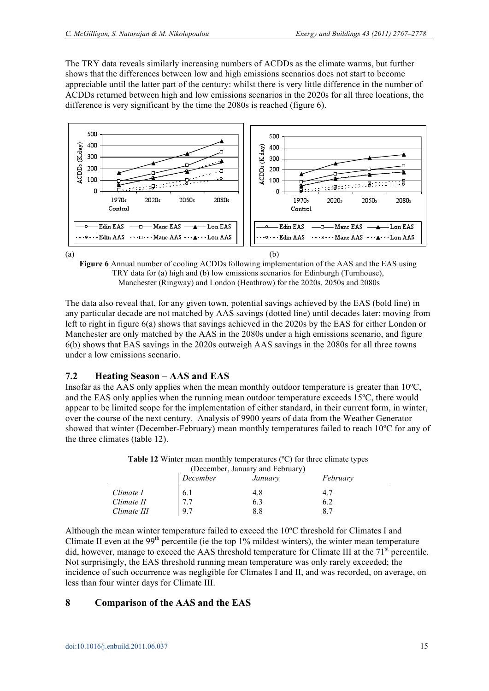The TRY data reveals similarly increasing numbers of ACDDs as the climate warms, but further shows that the differences between low and high emissions scenarios does not start to become appreciable until the latter part of the century: whilst there is very little difference in the number of ACDDs returned between high and low emissions scenarios in the 2020s for all three locations, the difference is very significant by the time the 2080s is reached (figure 6).



**Figure 6** Annual number of cooling ACDDs following implementation of the AAS and the EAS using TRY data for (a) high and (b) low emissions scenarios for Edinburgh (Turnhouse), Manchester (Ringway) and London (Heathrow) for the 2020s. 2050s and 2080s

The data also reveal that, for any given town, potential savings achieved by the EAS (bold line) in any particular decade are not matched by AAS savings (dotted line) until decades later: moving from left to right in figure 6(a) shows that savings achieved in the 2020s by the EAS for either London or Manchester are only matched by the AAS in the 2080s under a high emissions scenario, and figure 6(b) shows that EAS savings in the 2020s outweigh AAS savings in the 2080s for all three towns under a low emissions scenario.

# **7.2 Heating Season – AAS and EAS**

Insofar as the AAS only applies when the mean monthly outdoor temperature is greater than 10ºC, and the EAS only applies when the running mean outdoor temperature exceeds 15ºC, there would appear to be limited scope for the implementation of either standard, in their current form, in winter, over the course of the next century. Analysis of 9900 years of data from the Weather Generator showed that winter (December-February) mean monthly temperatures failed to reach 10ºC for any of the three climates (table 12).

| (December, January and February)       |                   |                   |                  |  |
|----------------------------------------|-------------------|-------------------|------------------|--|
|                                        | December          | January           | Februarv         |  |
| Climate I<br>Climate II<br>Climate III | 6.1<br>7.7<br>9.7 | 4.8<br>6.3<br>8.8 | 4.7<br>6.2<br>87 |  |

**Table 12** Winter mean monthly temperatures (ºC) for three climate types

Although the mean winter temperature failed to exceed the 10ºC threshold for Climates I and Climate II even at the  $99<sup>th</sup>$  percentile (ie the top 1% mildest winters), the winter mean temperature did, however, manage to exceed the AAS threshold temperature for Climate III at the 71<sup>st</sup> percentile. Not surprisingly, the EAS threshold running mean temperature was only rarely exceeded; the incidence of such occurrence was negligible for Climates I and II, and was recorded, on average, on less than four winter days for Climate III.

# **8 Comparison of the AAS and the EAS**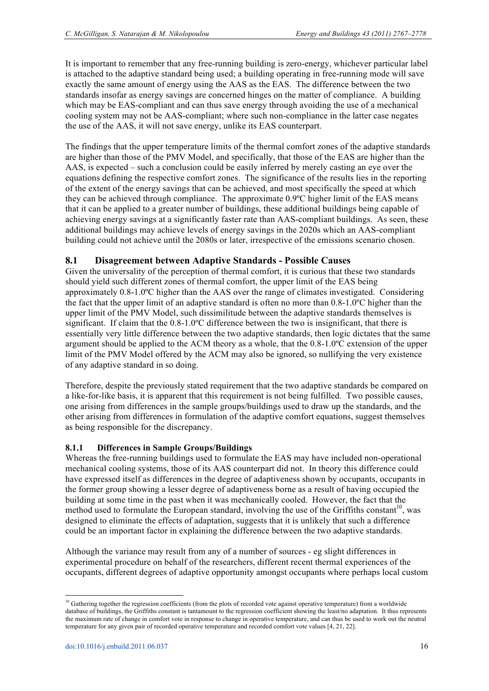It is important to remember that any free-running building is zero-energy, whichever particular label is attached to the adaptive standard being used; a building operating in free-running mode will save exactly the same amount of energy using the AAS as the EAS. The difference between the two standards insofar as energy savings are concerned hinges on the matter of compliance. A building which may be EAS-compliant and can thus save energy through avoiding the use of a mechanical cooling system may not be AAS-compliant; where such non-compliance in the latter case negates the use of the AAS, it will not save energy, unlike its EAS counterpart.

The findings that the upper temperature limits of the thermal comfort zones of the adaptive standards are higher than those of the PMV Model, and specifically, that those of the EAS are higher than the AAS, is expected – such a conclusion could be easily inferred by merely casting an eye over the equations defining the respective comfort zones. The significance of the results lies in the reporting of the extent of the energy savings that can be achieved, and most specifically the speed at which they can be achieved through compliance. The approximate 0.9ºC higher limit of the EAS means that it can be applied to a greater number of buildings, these additional buildings being capable of achieving energy savings at a significantly faster rate than AAS-compliant buildings. As seen, these additional buildings may achieve levels of energy savings in the 2020s which an AAS-compliant building could not achieve until the 2080s or later, irrespective of the emissions scenario chosen.

# **8.1 Disagreement between Adaptive Standards - Possible Causes**

Given the universality of the perception of thermal comfort, it is curious that these two standards should yield such different zones of thermal comfort, the upper limit of the EAS being approximately 0.8-1.0ºC higher than the AAS over the range of climates investigated. Considering the fact that the upper limit of an adaptive standard is often no more than 0.8-1.0ºC higher than the upper limit of the PMV Model, such dissimilitude between the adaptive standards themselves is significant. If claim that the 0.8-1.0ºC difference between the two is insignificant, that there is essentially very little difference between the two adaptive standards, then logic dictates that the same argument should be applied to the ACM theory as a whole, that the 0.8-1.0ºC extension of the upper limit of the PMV Model offered by the ACM may also be ignored, so nullifying the very existence of any adaptive standard in so doing.

Therefore, despite the previously stated requirement that the two adaptive standards be compared on a like-for-like basis, it is apparent that this requirement is not being fulfilled. Two possible causes, one arising from differences in the sample groups/buildings used to draw up the standards, and the other arising from differences in formulation of the adaptive comfort equations, suggest themselves as being responsible for the discrepancy.

# **8.1.1 Differences in Sample Groups/Buildings**

Whereas the free-running buildings used to formulate the EAS may have included non-operational mechanical cooling systems, those of its AAS counterpart did not. In theory this difference could have expressed itself as differences in the degree of adaptiveness shown by occupants, occupants in the former group showing a lesser degree of adaptiveness borne as a result of having occupied the building at some time in the past when it was mechanically cooled. However, the fact that the method used to formulate the European standard, involving the use of the Griffiths constant<sup>10</sup>, was designed to eliminate the effects of adaptation, suggests that it is unlikely that such a difference could be an important factor in explaining the difference between the two adaptive standards.

Although the variance may result from any of a number of sources - eg slight differences in experimental procedure on behalf of the researchers, different recent thermal experiences of the occupants, different degrees of adaptive opportunity amongst occupants where perhaps local custom

<sup>&</sup>lt;sup>10</sup> Gathering together the regression coefficients (from the plots of recorded vote against operative temperature) from a worldwide database of buildings, the Griffiths constant is tantamount to the regression coefficient showing the least/no adaptation. It thus represents the maximum rate of change in comfort vote in response to change in operative temperature, and can thus be used to work out the neutral temperature for any given pair of recorded operative temperature and recorded comfort vote values [4, 21, 22].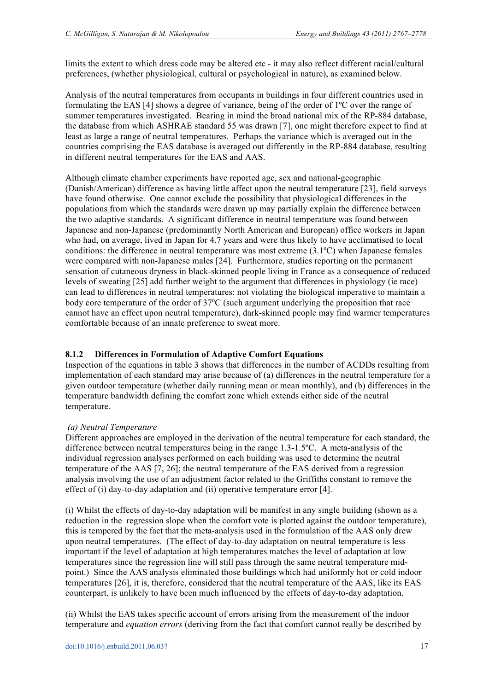limits the extent to which dress code may be altered etc - it may also reflect different racial/cultural preferences, (whether physiological, cultural or psychological in nature), as examined below.

Analysis of the neutral temperatures from occupants in buildings in four different countries used in formulating the EAS [4] shows a degree of variance, being of the order of 1ºC over the range of summer temperatures investigated. Bearing in mind the broad national mix of the RP-884 database, the database from which ASHRAE standard 55 was drawn [7], one might therefore expect to find at least as large a range of neutral temperatures. Perhaps the variance which is averaged out in the countries comprising the EAS database is averaged out differently in the RP-884 database, resulting in different neutral temperatures for the EAS and AAS.

Although climate chamber experiments have reported age, sex and national-geographic (Danish/American) difference as having little affect upon the neutral temperature [23], field surveys have found otherwise. One cannot exclude the possibility that physiological differences in the populations from which the standards were drawn up may partially explain the difference between the two adaptive standards. A significant difference in neutral temperature was found between Japanese and non-Japanese (predominantly North American and European) office workers in Japan who had, on average, lived in Japan for 4.7 years and were thus likely to have acclimatised to local conditions: the difference in neutral temperature was most extreme (3.1ºC) when Japanese females were compared with non-Japanese males [24]. Furthermore, studies reporting on the permanent sensation of cutaneous dryness in black-skinned people living in France as a consequence of reduced levels of sweating [25] add further weight to the argument that differences in physiology (ie race) can lead to differences in neutral temperatures: not violating the biological imperative to maintain a body core temperature of the order of 37ºC (such argument underlying the proposition that race cannot have an effect upon neutral temperature), dark-skinned people may find warmer temperatures comfortable because of an innate preference to sweat more.

# **8.1.2 Differences in Formulation of Adaptive Comfort Equations**

Inspection of the equations in table 3 shows that differences in the number of ACDDs resulting from implementation of each standard may arise because of (a) differences in the neutral temperature for a given outdoor temperature (whether daily running mean or mean monthly), and (b) differences in the temperature bandwidth defining the comfort zone which extends either side of the neutral temperature.

# *(a) Neutral Temperature*

Different approaches are employed in the derivation of the neutral temperature for each standard, the difference between neutral temperatures being in the range 1.3-1.5ºC. A meta-analysis of the individual regression analyses performed on each building was used to determine the neutral temperature of the AAS [7, 26]; the neutral temperature of the EAS derived from a regression analysis involving the use of an adjustment factor related to the Griffiths constant to remove the effect of (i) day-to-day adaptation and (ii) operative temperature error [4].

(i) Whilst the effects of day-to-day adaptation will be manifest in any single building (shown as a reduction in the regression slope when the comfort vote is plotted against the outdoor temperature), this is tempered by the fact that the meta-analysis used in the formulation of the AAS only drew upon neutral temperatures. (The effect of day-to-day adaptation on neutral temperature is less important if the level of adaptation at high temperatures matches the level of adaptation at low temperatures since the regression line will still pass through the same neutral temperature midpoint.) Since the AAS analysis eliminated those buildings which had uniformly hot or cold indoor temperatures [26], it is, therefore, considered that the neutral temperature of the AAS, like its EAS counterpart, is unlikely to have been much influenced by the effects of day-to-day adaptation.

(ii) Whilst the EAS takes specific account of errors arising from the measurement of the indoor temperature and *equation errors* (deriving from the fact that comfort cannot really be described by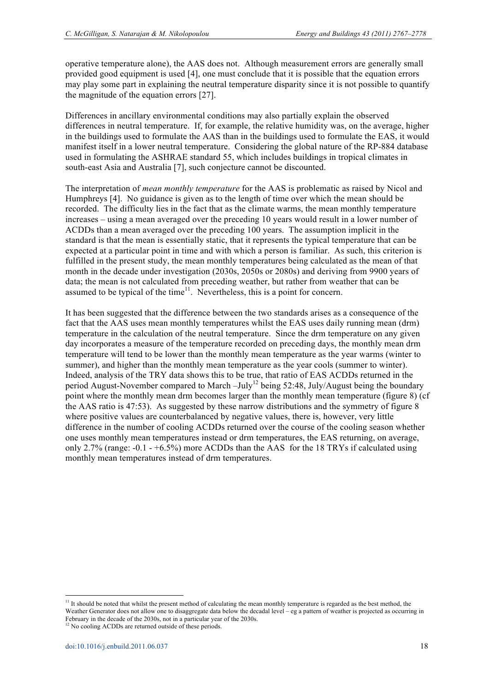operative temperature alone), the AAS does not. Although measurement errors are generally small provided good equipment is used [4], one must conclude that it is possible that the equation errors may play some part in explaining the neutral temperature disparity since it is not possible to quantify the magnitude of the equation errors [27].

Differences in ancillary environmental conditions may also partially explain the observed differences in neutral temperature. If, for example, the relative humidity was, on the average, higher in the buildings used to formulate the AAS than in the buildings used to formulate the EAS, it would manifest itself in a lower neutral temperature. Considering the global nature of the RP-884 database used in formulating the ASHRAE standard 55, which includes buildings in tropical climates in south-east Asia and Australia [7], such conjecture cannot be discounted.

The interpretation of *mean monthly temperature* for the AAS is problematic as raised by Nicol and Humphreys [4]. No guidance is given as to the length of time over which the mean should be recorded. The difficulty lies in the fact that as the climate warms, the mean monthly temperature increases – using a mean averaged over the preceding 10 years would result in a lower number of ACDDs than a mean averaged over the preceding 100 years. The assumption implicit in the standard is that the mean is essentially static, that it represents the typical temperature that can be expected at a particular point in time and with which a person is familiar. As such, this criterion is fulfilled in the present study, the mean monthly temperatures being calculated as the mean of that month in the decade under investigation (2030s, 2050s or 2080s) and deriving from 9900 years of data; the mean is not calculated from preceding weather, but rather from weather that can be assumed to be typical of the time $11$ . Nevertheless, this is a point for concern.

It has been suggested that the difference between the two standards arises as a consequence of the fact that the AAS uses mean monthly temperatures whilst the EAS uses daily running mean (drm) temperature in the calculation of the neutral temperature. Since the drm temperature on any given day incorporates a measure of the temperature recorded on preceding days, the monthly mean drm temperature will tend to be lower than the monthly mean temperature as the year warms (winter to summer), and higher than the monthly mean temperature as the year cools (summer to winter). Indeed, analysis of the TRY data shows this to be true, that ratio of EAS ACDDs returned in the period August-November compared to March –July<sup>12</sup> being 52:48, July/August being the boundary point where the monthly mean drm becomes larger than the monthly mean temperature (figure 8) (cf the AAS ratio is 47:53). As suggested by these narrow distributions and the symmetry of figure 8 where positive values are counterbalanced by negative values, there is, however, very little difference in the number of cooling ACDDs returned over the course of the cooling season whether one uses monthly mean temperatures instead or drm temperatures, the EAS returning, on average, only 2.7% (range:  $-0.1 - +6.5\%$ ) more ACDDs than the AAS for the 18 TRYs if calculated using monthly mean temperatures instead of drm temperatures.

<sup>&</sup>lt;sup>11</sup> It should be noted that whilst the present method of calculating the mean monthly temperature is regarded as the best method, the Weather Generator does not allow one to disaggregate data below the decadal level – eg a pattern of weather is projected as occurring in February in the decade of the 2030s, not in a particular year of the 2030s.

<sup>&</sup>lt;sup>12</sup> No cooling ACDDs are returned outside of these periods.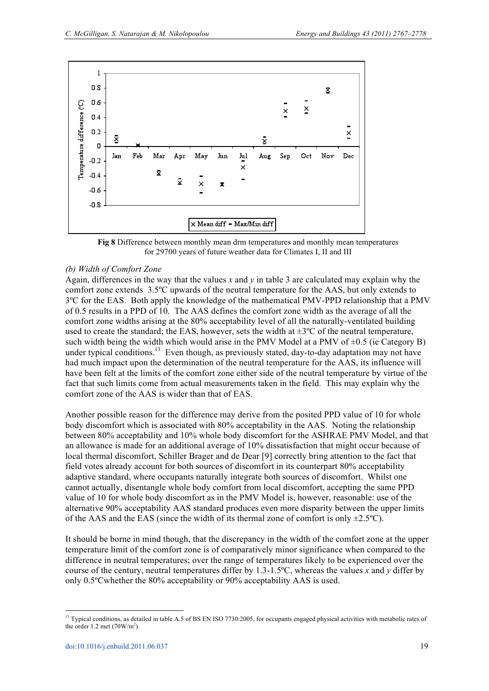

**Fig 8** Difference between monthly mean drm temperatures and monthly mean temperatures for 29700 years of future weather data for Climates I, II and III

#### *(b) Width of Comfort Zone*

Again, differences in the way that the values  $x$  and  $y$  in table 3 are calculated may explain why the comfort zone extends 3.5ºC upwards of the neutral temperature for the AAS, but only extends to 3ºC for the EAS. Both apply the knowledge of the mathematical PMV-PPD relationship that a PMV of 0.5 results in a PPD of 10. The AAS defines the comfort zone width as the average of all the comfort zone widths arising at the 80% acceptability level of all the naturally-ventilated building used to create the standard; the EAS, however, sets the width at  $\pm 3^{\circ}C$  of the neutral temperature, such width being the width which would arise in the PMV Model at a PMV of  $\pm 0.5$  (ie Category B) under typical conditions.<sup>13</sup> Even though, as previously stated, day-to-day adaptation may not have had much impact upon the determination of the neutral temperature for the AAS, its influence will have been felt at the limits of the comfort zone either side of the neutral temperature by virtue of the fact that such limits come from actual measurements taken in the field. This may explain why the comfort zone of the AAS is wider than that of EAS.

Another possible reason for the difference may derive from the posited PPD value of 10 for whole body discomfort which is associated with 80% acceptability in the AAS. Noting the relationship between 80% acceptability and 10% whole body discomfort for the ASHRAE PMV Model, and that an allowance is made for an additional average of 10% dissatisfaction that might occur because of local thermal discomfort, Schiller Brager and de Dear [9] correctly bring attention to the fact that field votes already account for both sources of discomfort in its counterpart 80% acceptability adaptive standard, where occupants naturally integrate both sources of discomfort. Whilst one cannot actually, disentangle whole body comfort from local discomfort, accepting the same PPD value of 10 for whole body discomfort as in the PMV Model is, however, reasonable: use of the alternative 90% acceptability AAS standard produces even more disparity between the upper limits of the AAS and the EAS (since the width of its thermal zone of comfort is only  $\pm 2.5^{\circ}$ C).

It should be borne in mind though, that the discrepancy in the width of the comfort zone at the upper temperature limit of the comfort zone is of comparatively minor significance when compared to the difference in neutral temperatures; over the range of temperatures likely to be experienced over the course of the century, neutral temperatures differ by 1.3-1.5ºC, whereas the values *x* and *y* differ by only 0.5ºCwhether the 80% acceptability or 90% acceptability AAS is used.

<sup>&</sup>lt;sup>13</sup> Typical conditions, as detailed in table A.5 of BS EN ISO 7730:2005, for occupants engaged physical activities with metabolic rates of the order  $1.2$  met  $(70 \text{W/m}^2)$ .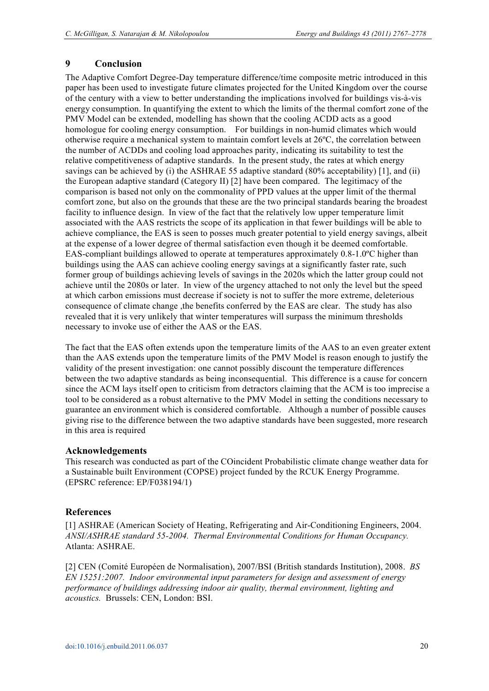# **9 Conclusion**

The Adaptive Comfort Degree-Day temperature difference/time composite metric introduced in this paper has been used to investigate future climates projected for the United Kingdom over the course of the century with a view to better understanding the implications involved for buildings vis-à-vis energy consumption. In quantifying the extent to which the limits of the thermal comfort zone of the PMV Model can be extended, modelling has shown that the cooling ACDD acts as a good homologue for cooling energy consumption. For buildings in non-humid climates which would otherwise require a mechanical system to maintain comfort levels at 26ºC, the correlation between the number of ACDDs and cooling load approaches parity, indicating its suitability to test the relative competitiveness of adaptive standards. In the present study, the rates at which energy savings can be achieved by (i) the ASHRAE 55 adaptive standard (80% acceptability) [1], and (ii) the European adaptive standard (Category II) [2] have been compared. The legitimacy of the comparison is based not only on the commonality of PPD values at the upper limit of the thermal comfort zone, but also on the grounds that these are the two principal standards bearing the broadest facility to influence design. In view of the fact that the relatively low upper temperature limit associated with the AAS restricts the scope of its application in that fewer buildings will be able to achieve compliance, the EAS is seen to posses much greater potential to yield energy savings, albeit at the expense of a lower degree of thermal satisfaction even though it be deemed comfortable. EAS-compliant buildings allowed to operate at temperatures approximately 0.8-1.0ºC higher than buildings using the AAS can achieve cooling energy savings at a significantly faster rate, such former group of buildings achieving levels of savings in the 2020s which the latter group could not achieve until the 2080s or later. In view of the urgency attached to not only the level but the speed at which carbon emissions must decrease if society is not to suffer the more extreme, deleterious consequence of climate change ,the benefits conferred by the EAS are clear. The study has also revealed that it is very unlikely that winter temperatures will surpass the minimum thresholds necessary to invoke use of either the AAS or the EAS.

The fact that the EAS often extends upon the temperature limits of the AAS to an even greater extent than the AAS extends upon the temperature limits of the PMV Model is reason enough to justify the validity of the present investigation: one cannot possibly discount the temperature differences between the two adaptive standards as being inconsequential. This difference is a cause for concern since the ACM lays itself open to criticism from detractors claiming that the ACM is too imprecise a tool to be considered as a robust alternative to the PMV Model in setting the conditions necessary to guarantee an environment which is considered comfortable. Although a number of possible causes giving rise to the difference between the two adaptive standards have been suggested, more research in this area is required

# **Acknowledgements**

This research was conducted as part of the COincident Probabilistic climate change weather data for a Sustainable built Environment (COPSE) project funded by the RCUK Energy Programme. (EPSRC reference: EP/F038194/1)

# **References**

[1] ASHRAE (American Society of Heating, Refrigerating and Air-Conditioning Engineers, 2004. *ANSI/ASHRAE standard 55-2004. Thermal Environmental Conditions for Human Occupancy.* Atlanta: ASHRAE.

[2] CEN (Comité Européen de Normalisation), 2007/BSI (British standards Institution), 2008. *BS EN 15251:2007. Indoor environmental input parameters for design and assessment of energy performance of buildings addressing indoor air quality, thermal environment, lighting and acoustics.* Brussels: CEN, London: BSI.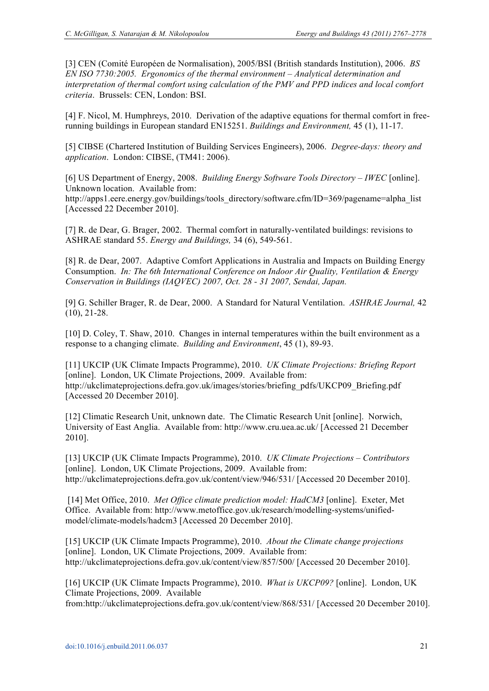[3] CEN (Comité Européen de Normalisation), 2005/BSI (British standards Institution), 2006. *BS EN ISO 7730:2005. Ergonomics of the thermal environment – Analytical determination and interpretation of thermal comfort using calculation of the PMV and PPD indices and local comfort criteria*. Brussels: CEN, London: BSI.

[4] F. Nicol, M. Humphreys, 2010. Derivation of the adaptive equations for thermal comfort in freerunning buildings in European standard EN15251. *Buildings and Environment,* 45 (1), 11-17.

[5] CIBSE (Chartered Institution of Building Services Engineers), 2006. *Degree-days: theory and application*. London: CIBSE, (TM41: 2006).

[6] US Department of Energy, 2008. *Building Energy Software Tools Directory – IWEC* [online]. Unknown location. Available from:

http://apps1.eere.energy.gov/buildings/tools\_directory/software.cfm/ID=369/pagename=alpha\_list [Accessed 22 December 2010].

[7] R. de Dear, G. Brager, 2002. Thermal comfort in naturally-ventilated buildings: revisions to ASHRAE standard 55. *Energy and Buildings,* 34 (6), 549-561.

[8] R. de Dear, 2007. Adaptive Comfort Applications in Australia and Impacts on Building Energy Consumption. *In: The 6th International Conference on Indoor Air Quality, Ventilation & Energy Conservation in Buildings (IAQVEC) 2007, Oct. 28 - 31 2007, Sendai, Japan.*

[9] G. Schiller Brager, R. de Dear, 2000. A Standard for Natural Ventilation. *ASHRAE Journal,* 42 (10), 21-28.

[10] D. Coley, T. Shaw, 2010. Changes in internal temperatures within the built environment as a response to a changing climate. *Building and Environment*, 45 (1), 89-93.

[11] UKCIP (UK Climate Impacts Programme), 2010. *UK Climate Projections: Briefing Report* [online]. London, UK Climate Projections, 2009. Available from: http://ukclimateprojections.defra.gov.uk/images/stories/briefing\_pdfs/UKCP09\_Briefing.pdf [Accessed 20 December 2010].

[12] Climatic Research Unit, unknown date. The Climatic Research Unit [online]. Norwich, University of East Anglia. Available from: http://www.cru.uea.ac.uk/ [Accessed 21 December 2010].

[13] UKCIP (UK Climate Impacts Programme), 2010. *UK Climate Projections – Contributors* [online]. London, UK Climate Projections, 2009. Available from: http://ukclimateprojections.defra.gov.uk/content/view/946/531/ [Accessed 20 December 2010].

[14] Met Office, 2010. *Met Office climate prediction model: HadCM3* [online]. Exeter, Met Office. Available from: http://www.metoffice.gov.uk/research/modelling-systems/unifiedmodel/climate-models/hadcm3 [Accessed 20 December 2010].

[15] UKCIP (UK Climate Impacts Programme), 2010. *About the Climate change projections* [online]. London, UK Climate Projections, 2009. Available from: http://ukclimateprojections.defra.gov.uk/content/view/857/500/ [Accessed 20 December 2010].

[16] UKCIP (UK Climate Impacts Programme), 2010. *What is UKCP09?* [online]. London, UK Climate Projections, 2009. Available from:http://ukclimateprojections.defra.gov.uk/content/view/868/531/ [Accessed 20 December 2010].